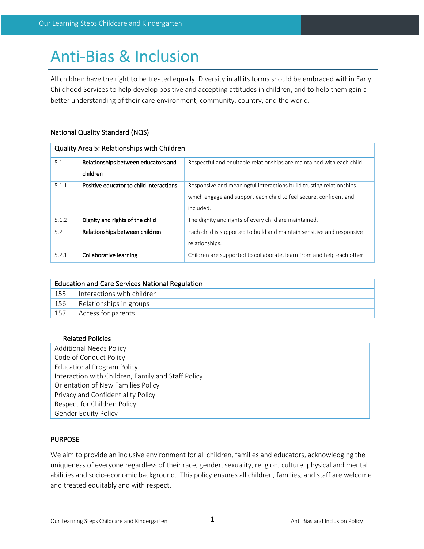# Anti-Bias & Inclusion

All children have the right to be treated equally. Diversity in all its forms should be embraced within Early Childhood Services to help develop positive and accepting attitudes in children, and to help them gain a better understanding of their care environment, community, country, and the world.

# National Quality Standard (NQS)

| Quality Area 5: Relationships with Children |                                         |                                                                        |  |  |  |
|---------------------------------------------|-----------------------------------------|------------------------------------------------------------------------|--|--|--|
| 5.1                                         | Relationships between educators and     | Respectful and equitable relationships are maintained with each child. |  |  |  |
|                                             | children                                |                                                                        |  |  |  |
| 5.1.1                                       | Positive educator to child interactions | Responsive and meaningful interactions build trusting relationships    |  |  |  |
|                                             |                                         | which engage and support each child to feel secure, confident and      |  |  |  |
|                                             |                                         | included.                                                              |  |  |  |
| 5.1.2                                       | Dignity and rights of the child         | The dignity and rights of every child are maintained.                  |  |  |  |
| 5.2                                         | Relationships between children          | Each child is supported to build and maintain sensitive and responsive |  |  |  |
|                                             |                                         | relationships.                                                         |  |  |  |
| 5.2.1                                       | Collaborative learning                  | Children are supported to collaborate, learn from and help each other. |  |  |  |

| <b>Education and Care Services National Regulation</b> |                            |  |  |  |
|--------------------------------------------------------|----------------------------|--|--|--|
| 155                                                    | Interactions with children |  |  |  |
| 156                                                    | Relationships in groups    |  |  |  |
| 157                                                    | Access for parents         |  |  |  |

## Related Policies

Additional Needs Policy Code of Conduct Policy Educational Program Policy Interaction with Children, Family and Staff Policy Orientation of New Families Policy Privacy and Confidentiality Policy Respect for Children Policy Gender Equity Policy

## **PURPOSE**

We aim to provide an inclusive environment for all children, families and educators, acknowledging the uniqueness of everyone regardless of their race, gender, sexuality, religion, culture, physical and mental abilities and socio-economic background. This policy ensures all children, families, and staff are welcome and treated equitably and with respect.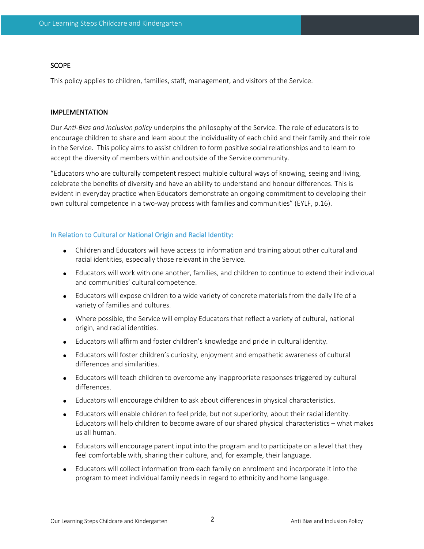#### **SCOPE**

This policy applies to children, families, staff, management, and visitors of the Service.

## IMPLEMENTATION

Our *Anti-Bias and Inclusion policy* underpins the philosophy of the Service. The role of educators is to encourage children to share and learn about the individuality of each child and their family and their role in the Service. This policy aims to assist children to form positive social relationships and to learn to accept the diversity of members within and outside of the Service community.

"Educators who are culturally competent respect multiple cultural ways of knowing, seeing and living, celebrate the benefits of diversity and have an ability to understand and honour differences. This is evident in everyday practice when Educators demonstrate an ongoing commitment to developing their own cultural competence in a two-way process with families and communities" (EYLF, p.16).

#### In Relation to Cultural or National Origin and Racial Identity:

- Children and Educators will have access to information and training about other cultural and racial identities, especially those relevant in the Service.
- Educators will work with one another, families, and children to continue to extend their individual and communities' cultural competence.
- Educators will expose children to a wide variety of concrete materials from the daily life of a variety of families and cultures.
- Where possible, the Service will employ Educators that reflect a variety of cultural, national origin, and racial identities.
- Educators will affirm and foster children's knowledge and pride in cultural identity.
- Educators will foster children's curiosity, enjoyment and empathetic awareness of cultural differences and similarities.
- Educators will teach children to overcome any inappropriate responses triggered by cultural differences.
- Educators will encourage children to ask about differences in physical characteristics.
- Educators will enable children to feel pride, but not superiority, about their racial identity. Educators will help children to become aware of our shared physical characteristics – what makes us all human.
- Educators will encourage parent input into the program and to participate on a level that they feel comfortable with, sharing their culture, and, for example, their language.
- Educators will collect information from each family on enrolment and incorporate it into the program to meet individual family needs in regard to ethnicity and home language.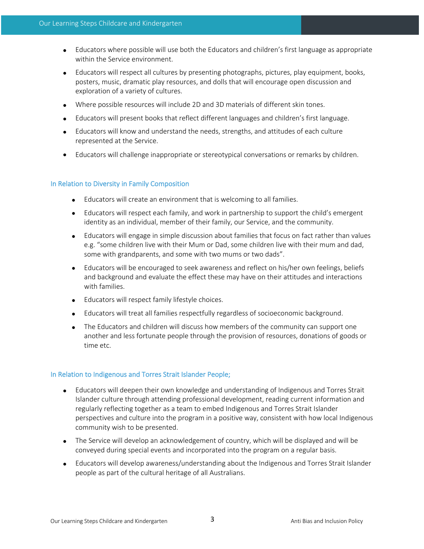- Educators where possible will use both the Educators and children's first language as appropriate within the Service environment.
- Educators will respect all cultures by presenting photographs, pictures, play equipment, books, posters, music, dramatic play resources, and dolls that will encourage open discussion and exploration of a variety of cultures.
- Where possible resources will include 2D and 3D materials of different skin tones.
- Educators will present books that reflect different languages and children's first language.
- Educators will know and understand the needs, strengths, and attitudes of each culture represented at the Service.
- Educators will challenge inappropriate or stereotypical conversations or remarks by children.

#### In Relation to Diversity in Family Composition

- Educators will create an environment that is welcoming to all families.
- Educators will respect each family, and work in partnership to support the child's emergent identity as an individual, member of their family, our Service, and the community.
- Educators will engage in simple discussion about families that focus on fact rather than values e.g. "some children live with their Mum or Dad, some children live with their mum and dad, some with grandparents, and some with two mums or two dads".
- Educators will be encouraged to seek awareness and reflect on his/her own feelings, beliefs and background and evaluate the effect these may have on their attitudes and interactions with families.
- Educators will respect family lifestyle choices.
- Educators will treat all families respectfully regardless of socioeconomic background.
- The Educators and children will discuss how members of the community can support one another and less fortunate people through the provision of resources, donations of goods or time etc.

#### In Relation to Indigenous and Torres Strait Islander People;

- Educators will deepen their own knowledge and understanding of Indigenous and Torres Strait Islander culture through attending professional development, reading current information and regularly reflecting together as a team to embed Indigenous and Torres Strait Islander perspectives and culture into the program in a positive way, consistent with how local Indigenous community wish to be presented.
- The Service will develop an acknowledgement of country, which will be displayed and will be conveyed during special events and incorporated into the program on a regular basis.
- Educators will develop awareness/understanding about the Indigenous and Torres Strait Islander people as part of the cultural heritage of all Australians.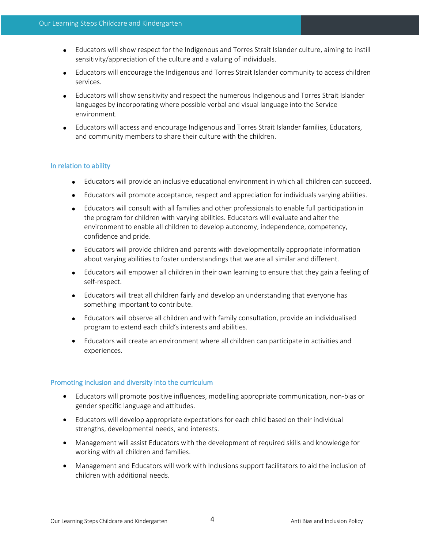- Educators will show respect for the Indigenous and Torres Strait Islander culture, aiming to instill sensitivity/appreciation of the culture and a valuing of individuals.
- Educators will encourage the Indigenous and Torres Strait Islander community to access children services.
- Educators will show sensitivity and respect the numerous Indigenous and Torres Strait Islander languages by incorporating where possible verbal and visual language into the Service environment.
- Educators will access and encourage Indigenous and Torres Strait Islander families, Educators, and community members to share their culture with the children.

## In relation to ability

- Educators will provide an inclusive educational environment in which all children can succeed.
- Educators will promote acceptance, respect and appreciation for individuals varying abilities.
- Educators will consult with all families and other professionals to enable full participation in the program for children with varying abilities. Educators will evaluate and alter the environment to enable all children to develop autonomy, independence, competency, confidence and pride.
- Educators will provide children and parents with developmentally appropriate information about varying abilities to foster understandings that we are all similar and different.
- Educators will empower all children in their own learning to ensure that they gain a feeling of self-respect.
- Educators will treat all children fairly and develop an understanding that everyone has something important to contribute.
- Educators will observe all children and with family consultation, provide an individualised program to extend each child's interests and abilities.
- Educators will create an environment where all children can participate in activities and experiences.

#### Promoting inclusion and diversity into the curriculum

- Educators will promote positive influences, modelling appropriate communication, non-bias or gender specific language and attitudes.
- Educators will develop appropriate expectations for each child based on their individual strengths, developmental needs, and interests.
- Management will assist Educators with the development of required skills and knowledge for working with all children and families.
- Management and Educators will work with Inclusions support facilitators to aid the inclusion of children with additional needs.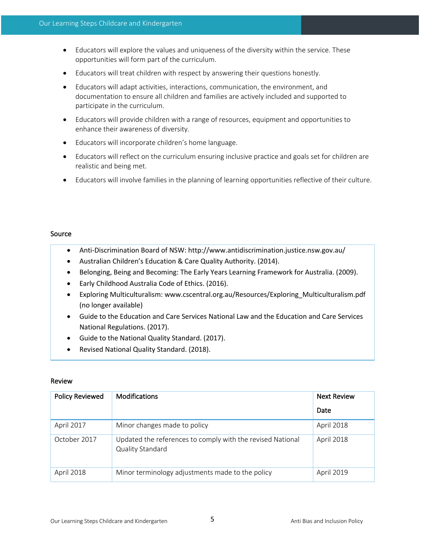- Educators will explore the values and uniqueness of the diversity within the service. These opportunities will form part of the curriculum.
- Educators will treat children with respect by answering their questions honestly.
- Educators will adapt activities, interactions, communication, the environment, and documentation to ensure all children and families are actively included and supported to participate in the curriculum.
- Educators will provide children with a range of resources, equipment and opportunities to enhance their awareness of diversity.
- Educators will incorporate children's home language.
- Educators will reflect on the curriculum ensuring inclusive practice and goals set for children are realistic and being met.
- Educators will involve families in the planning of learning opportunities reflective of their culture.

## Source

- Anti-Discrimination Board of NSW: http://www.antidiscrimination.justice.nsw.gov.au/
- Australian Children's Education & Care Quality Authority. (2014).
- Belonging, Being and Becoming: The Early Years Learning Framework for Australia. (2009).
- Early Childhood Australia Code of Ethics. (2016).
- Exploring Multiculturalism: www.cscentral.org.au/Resources/Exploring\_Multiculturalism.pdf (no longer available)
- Guide to the Education and Care Services National Law and the Education and Care Services National Regulations. (2017).
- Guide to the National Quality Standard. (2017).
- Revised National Quality Standard. (2018).

## Review

| <b>Policy Reviewed</b> | <b>Modifications</b>                                                           | Next Review |
|------------------------|--------------------------------------------------------------------------------|-------------|
|                        |                                                                                | Date        |
| April 2017             | Minor changes made to policy                                                   | April 2018  |
| October 2017           | Updated the references to comply with the revised National<br>Quality Standard | April 2018  |
| April 2018             | Minor terminology adjustments made to the policy                               | April 2019  |